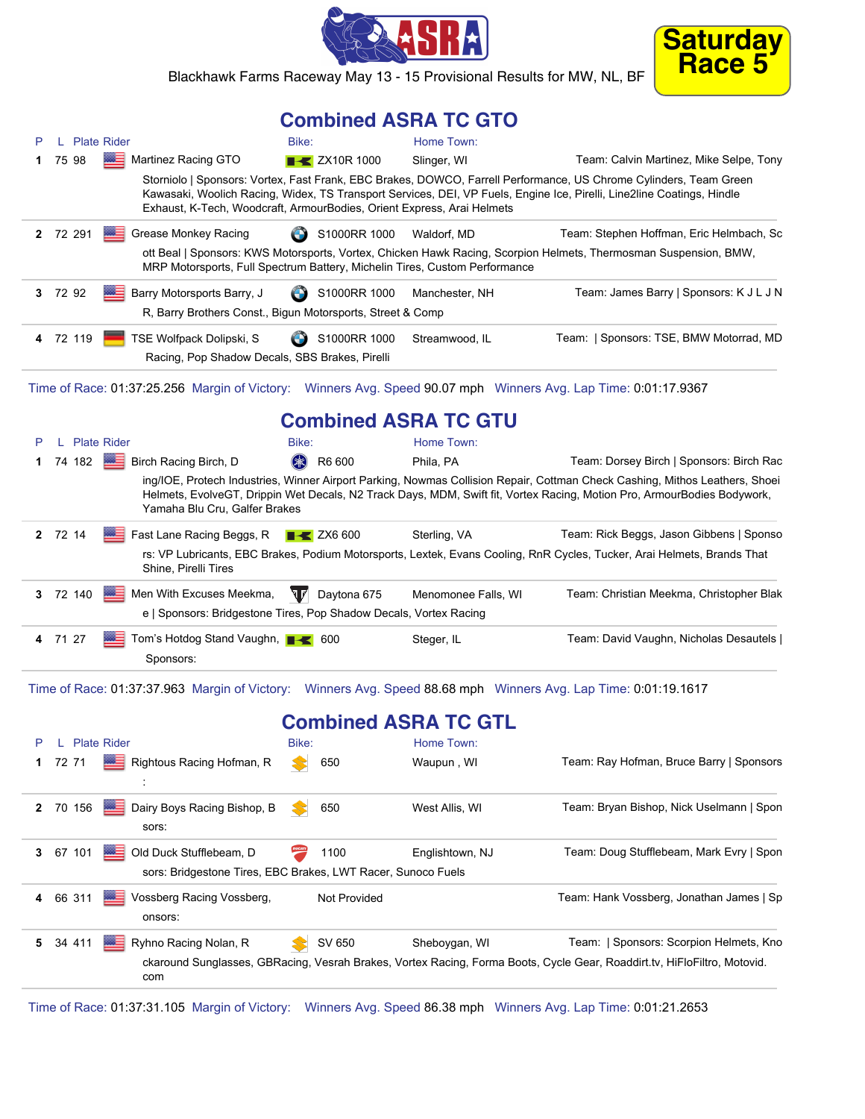



Blackhawk Farms Raceway May 13 - 15 Provisional Results for MW, NL, BF

## **Combined ASRA TC GTO**

| Р  |          | L Plate Rider |                                                                                                         | Bike:                     | Home Town:                                                                 |                                                                                                                                                                                                                                                        |
|----|----------|---------------|---------------------------------------------------------------------------------------------------------|---------------------------|----------------------------------------------------------------------------|--------------------------------------------------------------------------------------------------------------------------------------------------------------------------------------------------------------------------------------------------------|
| 1  | 75 98    |               | <b>Martinez Racing GTO</b>                                                                              | <b>EXAMPLE 2X10R 1000</b> | Slinger, WI                                                                | Team: Calvin Martinez, Mike Selpe, Tony                                                                                                                                                                                                                |
|    |          |               |                                                                                                         |                           | Exhaust, K-Tech, Woodcraft, ArmourBodies, Orient Express, Arai Helmets     | Storniolo   Sponsors: Vortex, Fast Frank, EBC Brakes, DOWCO, Farrell Performance, US Chrome Cylinders, Team Green<br>Kawasaki, Woolich Racing, Widex, TS Transport Services, DEI, VP Fuels, Engine Ice, Pirelli, Line2line Coatings, Hindle            |
|    | 2 72 291 |               | Grease Monkey Racing                                                                                    | S1000RR 1000              | Waldorf, MD                                                                | Team: Stephen Hoffman, Eric Helmbach, Sc                                                                                                                                                                                                               |
|    |          |               |                                                                                                         |                           | MRP Motorsports, Full Spectrum Battery, Michelin Tires, Custom Performance | ott Beal   Sponsors: KWS Motorsports, Vortex, Chicken Hawk Racing, Scorpion Helmets, Thermosman Suspension, BMW,                                                                                                                                       |
|    | 3 72 92  |               | <b>BEE</b> Barry Motorsports Barry, J                                                                   | S1000RR 1000              | Manchester, NH                                                             | Team: James Barry   Sponsors: K J L J N                                                                                                                                                                                                                |
|    |          |               | R, Barry Brothers Const., Bigun Motorsports, Street & Comp                                              |                           |                                                                            |                                                                                                                                                                                                                                                        |
|    | 4 72 119 |               | TSE Wolfpack Dolipski, S                                                                                | S1000RR 1000              | Streamwood, IL                                                             | Team:   Sponsors: TSE, BMW Motorrad, MD                                                                                                                                                                                                                |
|    |          |               | Racing, Pop Shadow Decals, SBS Brakes, Pirelli                                                          |                           |                                                                            |                                                                                                                                                                                                                                                        |
|    |          |               |                                                                                                         |                           |                                                                            | Time of Race: 01:37:25.256 Margin of Victory: Winners Avg. Speed 90.07 mph Winners Avg. Lap Time: 0:01:17.9367                                                                                                                                         |
|    |          |               |                                                                                                         |                           | <b>Combined ASRA TC GTU</b>                                                |                                                                                                                                                                                                                                                        |
| P  |          | L Plate Rider |                                                                                                         | Bike:                     | Home Town:                                                                 |                                                                                                                                                                                                                                                        |
| 1. | 74 182   |               | <b>E</b> Birch Racing Birch, D                                                                          | (米)<br>R6 600             | Phila, PA                                                                  | Team: Dorsey Birch   Sponsors: Birch Rac                                                                                                                                                                                                               |
|    |          |               | Yamaha Blu Cru, Galfer Brakes                                                                           |                           |                                                                            | ing/IOE, Protech Industries, Winner Airport Parking, Nowmas Collision Repair, Cottman Check Cashing, Mithos Leathers, Shoei<br>Helmets, EvolveGT, Drippin Wet Decals, N2 Track Days, MDM, Swift fit, Vortex Racing, Motion Pro, ArmourBodies Bodywork, |
|    | 2 72 14  |               | Fast Lane Racing Beggs, R<br>Shine, Pirelli Tires                                                       | $\rightarrow$ ZX6 600     | Sterling, VA                                                               | Team: Rick Beggs, Jason Gibbens   Sponso<br>rs: VP Lubricants, EBC Brakes, Podium Motorsports, Lextek, Evans Cooling, RnR Cycles, Tucker, Arai Helmets, Brands That                                                                                    |
|    | 3 72 140 |               | <b>WE Men With Excuses Meekma,</b><br>e   Sponsors: Bridgestone Tires, Pop Shadow Decals, Vortex Racing | त्ता<br>Daytona 675       | Menomonee Falls, WI                                                        | Team: Christian Meekma, Christopher Blak                                                                                                                                                                                                               |
|    | 4 71 27  |               | Sponsors:                                                                                               |                           | Steger, IL                                                                 | Team: David Vaughn, Nicholas Desautels                                                                                                                                                                                                                 |
|    |          |               |                                                                                                         |                           |                                                                            | Time of Race: 01:37:37.963 Margin of Victory: Winners Avg. Speed 88.68 mph Winners Avg. Lap Time: 0:01:19.1617                                                                                                                                         |
|    |          |               |                                                                                                         |                           | <b>Combined ASRA TC GTL</b>                                                |                                                                                                                                                                                                                                                        |
|    |          | L Plate Rider |                                                                                                         | Bike:                     | Home Town:                                                                 |                                                                                                                                                                                                                                                        |
|    | 72 71    |               | <b>Research Accing Hofman, R</b>                                                                        | 650                       | Waupun, WI                                                                 | Team: Ray Hofman, Bruce Barry   Sponsors                                                                                                                                                                                                               |
|    | 2 70 156 |               | Dairy Boys Racing Bishop, B<br>sors:                                                                    | 650                       | West Allis, WI                                                             | Team: Bryan Bishop, Nick Uselmann   Spon                                                                                                                                                                                                               |
| 3  | 67 101   | 躁             | Old Duck Stufflebeam, D<br>sors: Bridgestone Tires, EBC Brakes, LWT Racer, Sunoco Fuels                 | 1100                      | Englishtown, NJ                                                            | Team: Doug Stufflebeam, Mark Evry   Spon                                                                                                                                                                                                               |
| 4  | 66 311   |               | Vossberg Racing Vossberg,<br>onsors:                                                                    | Not Provided              |                                                                            | Team: Hank Vossberg, Jonathan James   Sp                                                                                                                                                                                                               |
| 5. | 34 411   |               | Ryhno Racing Nolan, R<br>com                                                                            | SV 650                    | Sheboygan, WI                                                              | Team:   Sponsors: Scorpion Helmets, Kno<br>ckaround Sunglasses, GBRacing, Vesrah Brakes, Vortex Racing, Forma Boots, Cycle Gear, Roaddirt.tv, HiFloFiltro, Motovid.                                                                                    |

Time of Race: 01:37:31.105 Margin of Victory: Winners Avg. Speed 86.38 mph Winners Avg. Lap Time: 0:01:21.2653